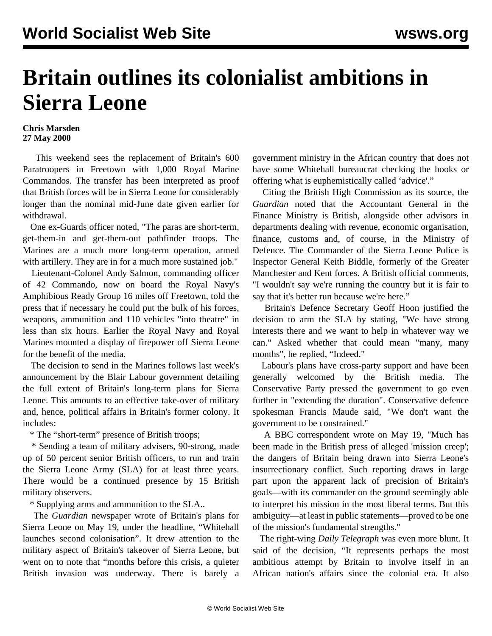## **Britain outlines its colonialist ambitions in Sierra Leone**

## **Chris Marsden 27 May 2000**

 This weekend sees the replacement of Britain's 600 Paratroopers in Freetown with 1,000 Royal Marine Commandos. The transfer has been interpreted as proof that British forces will be in Sierra Leone for considerably longer than the nominal mid-June date given earlier for withdrawal.

 One ex-Guards officer noted, "The paras are short-term, get-them-in and get-them-out pathfinder troops. The Marines are a much more long-term operation, armed with artillery. They are in for a much more sustained job."

 Lieutenant-Colonel Andy Salmon, commanding officer of 42 Commando, now on board the Royal Navy's Amphibious Ready Group 16 miles off Freetown, told the press that if necessary he could put the bulk of his forces, weapons, ammunition and 110 vehicles "into theatre" in less than six hours. Earlier the Royal Navy and Royal Marines mounted a display of firepower off Sierra Leone for the benefit of the media.

 The decision to send in the Marines follows last week's announcement by the Blair Labour government detailing the full extent of Britain's long-term plans for Sierra Leone. This amounts to an effective take-over of military and, hence, political affairs in Britain's former colony. It includes:

\* The "short-term" presence of British troops;

 \* Sending a team of military advisers, 90-strong, made up of 50 percent senior British officers, to run and train the Sierra Leone Army (SLA) for at least three years. There would be a continued presence by 15 British military observers.

\* Supplying arms and ammunition to the SLA..

 The *Guardian* newspaper wrote of Britain's plans for Sierra Leone on May 19, under the headline, "Whitehall launches second colonisation". It drew attention to the military aspect of Britain's takeover of Sierra Leone, but went on to note that "months before this crisis, a quieter British invasion was underway. There is barely a

government ministry in the African country that does not have some Whitehall bureaucrat checking the books or offering what is euphemistically called 'advice'."

 Citing the British High Commission as its source, the *Guardian* noted that the Accountant General in the Finance Ministry is British, alongside other advisors in departments dealing with revenue, economic organisation, finance, customs and, of course, in the Ministry of Defence. The Commander of the Sierra Leone Police is Inspector General Keith Biddle, formerly of the Greater Manchester and Kent forces. A British official comments, "I wouldn't say we're running the country but it is fair to say that it's better run because we're here."

 Britain's Defence Secretary Geoff Hoon justified the decision to arm the SLA by stating, "We have strong interests there and we want to help in whatever way we can." Asked whether that could mean "many, many months", he replied, "Indeed."

 Labour's plans have cross-party support and have been generally welcomed by the British media. The Conservative Party pressed the government to go even further in "extending the duration". Conservative defence spokesman Francis Maude said, "We don't want the government to be constrained."

 A BBC correspondent wrote on May 19, "Much has been made in the British press of alleged 'mission creep'; the dangers of Britain being drawn into Sierra Leone's insurrectionary conflict. Such reporting draws in large part upon the apparent lack of precision of Britain's goals—with its commander on the ground seemingly able to interpret his mission in the most liberal terms. But this ambiguity—at least in public statements—proved to be one of the mission's fundamental strengths."

 The right-wing *Daily Telegraph* was even more blunt. It said of the decision, "It represents perhaps the most ambitious attempt by Britain to involve itself in an African nation's affairs since the colonial era. It also